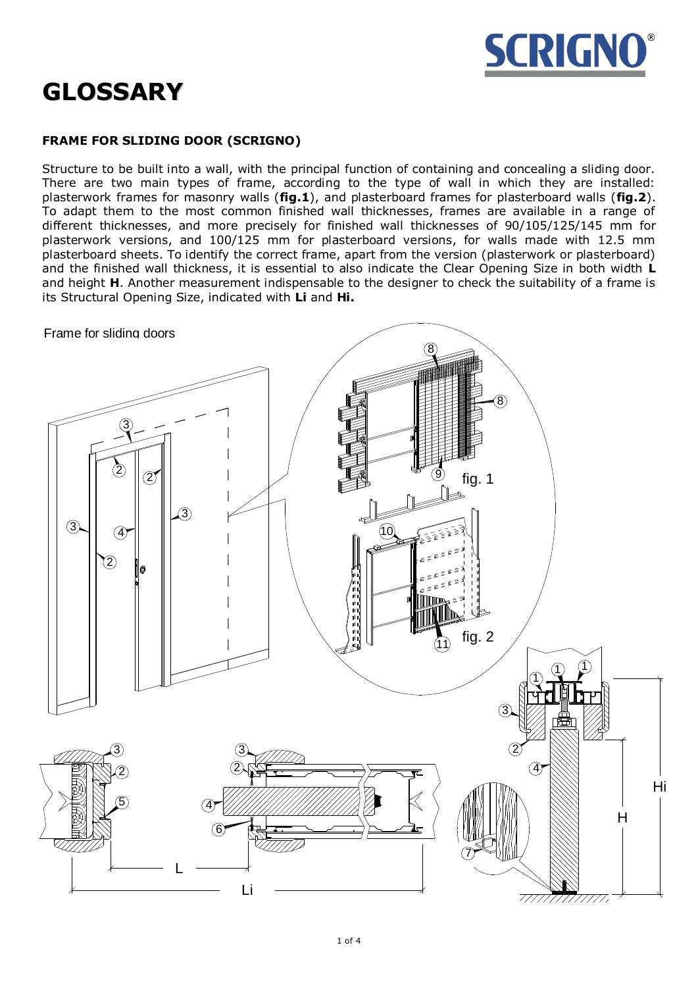

# **GLOSSARY**

# **FRAME FOR SLIDING DOOR (SCRIGNO)**

Structure to be built into a wall, with the principal function of containing and concealing a sliding door. There are two main types of frame, according to the type of wall in which they are installed: plasterwork frames for masonry walls (**fig.1**), and plasterboard frames for plasterboard walls (**fig.2**). To adapt them to the most common finished wall thicknesses, frames are available in a range of different thicknesses, and more precisely for finished wall thicknesses of 90/105/125/145 mm for plasterwork versions, and 100/125 mm for plasterboard versions, for walls made with 12.5 mm plasterboard sheets. To identify the correct frame, apart from the version (plasterwork or plasterboard) and the finished wall thickness, it is essential to also indicate the Clear Opening Size in both width **L** and height **H**. Another measurement indispensable to the designer to check the suitability of a frame is its Structural Opening Size, indicated with **Li** and **Hi.**

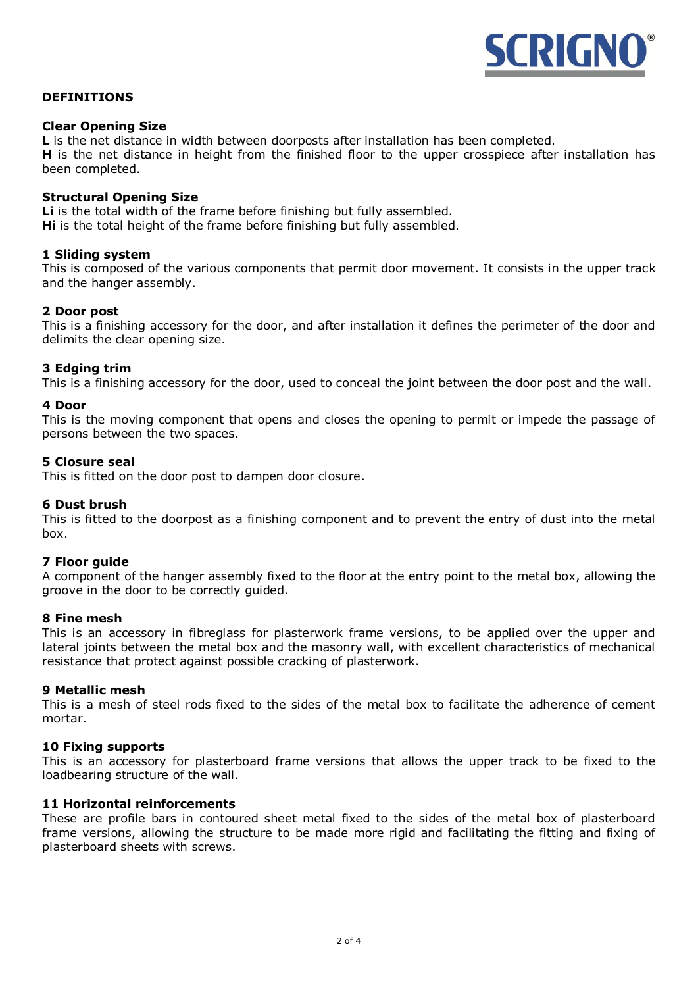

# **DEFINITIONS**

### **Clear Opening Size**

**L** is the net distance in width between doorposts after installation has been completed. **H** is the net distance in height from the finished floor to the upper crosspiece after installation has been completed.

#### **Structural Opening Size**

**Li** is the total width of the frame before finishing but fully assembled. **Hi** is the total height of the frame before finishing but fully assembled.

#### **1 Sliding system**

This is composed of the various components that permit door movement. It consists in the upper track and the hanger assembly.

#### **2 Door post**

This is a finishing accessory for the door, and after installation it defines the perimeter of the door and delimits the clear opening size.

#### **3 Edging trim**

This is a finishing accessory for the door, used to conceal the joint between the door post and the wall.

#### **4 Door**

This is the moving component that opens and closes the opening to permit or impede the passage of persons between the two spaces.

#### **5 Closure seal**

This is fitted on the door post to dampen door closure.

#### **6 Dust brush**

This is fitted to the doorpost as a finishing component and to prevent the entry of dust into the metal box.

#### **7 Floor guide**

A component of the hanger assembly fixed to the floor at the entry point to the metal box, allowing the groove in the door to be correctly guided.

#### **8 Fine mesh**

This is an accessory in fibreglass for plasterwork frame versions, to be applied over the upper and lateral joints between the metal box and the masonry wall, with excellent characteristics of mechanical resistance that protect against possible cracking of plasterwork.

#### **9 Metallic mesh**

This is a mesh of steel rods fixed to the sides of the metal box to facilitate the adherence of cement mortar.

#### **10 Fixing supports**

This is an accessory for plasterboard frame versions that allows the upper track to be fixed to the loadbearing structure of the wall.

# **11 Horizontal reinforcements**

These are profile bars in contoured sheet metal fixed to the sides of the metal box of plasterboard frame versions, allowing the structure to be made more rigid and facilitating the fitting and fixing of plasterboard sheets with screws.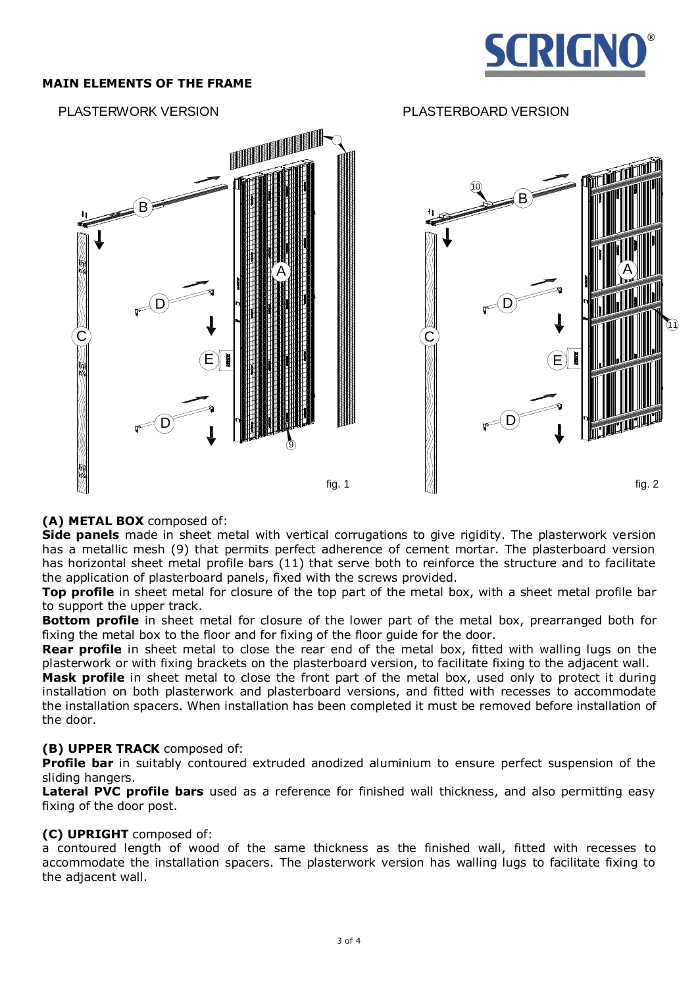

# **MAIN ELEMENTS OF THE FRAME**



# PLASTERWORK VERSION PLASTERBOARD VERSION



# **(A) METAL BOX** composed of:

**Side panels** made in sheet metal with vertical corrugations to give rigidity. The plasterwork version has a metallic mesh (9) that permits perfect adherence of cement mortar. The plasterboard version has horizontal sheet metal profile bars (11) that serve both to reinforce the structure and to facilitate the application of plasterboard panels, fixed with the screws provided.

**Top profile** in sheet metal for closure of the top part of the metal box, with a sheet metal profile bar to support the upper track.

**Bottom profile** in sheet metal for closure of the lower part of the metal box, prearranged both for fixing the metal box to the floor and for fixing of the floor guide for the door.

**Rear profile** in sheet metal to close the rear end of the metal box, fitted with walling lugs on the plasterwork or with fixing brackets on the plasterboard version, to facilitate fixing to the adjacent wall.

**Mask profile** in sheet metal to close the front part of the metal box, used only to protect it during installation on both plasterwork and plasterboard versions, and fitted with recesses to accommodate the installation spacers. When installation has been completed it must be removed before installation of the door.

# **(B) UPPER TRACK** composed of:

**Profile bar** in suitably contoured extruded anodized aluminium to ensure perfect suspension of the sliding hangers.

**Lateral PVC profile bars** used as a reference for finished wall thickness, and also permitting easy fixing of the door post.

# **(C) UPRIGHT** composed of:

a contoured length of wood of the same thickness as the finished wall, fitted with recesses to accommodate the installation spacers. The plasterwork version has walling lugs to facilitate fixing to the adjacent wall.